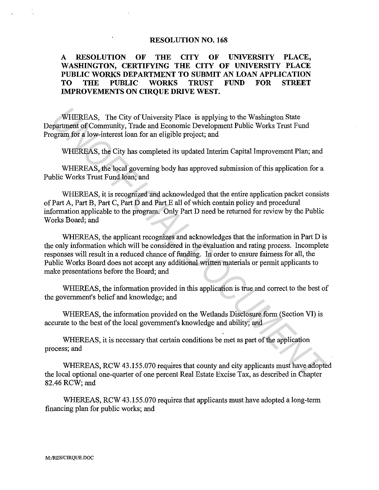## **RESOLUTION NO. 168**

## **A RESOLUTION OF THE CITY OF UNIVERSITY PLACE, WASHINGTON, CERTIFYING THE CITY OF UNIVERSITY PLACE PUBLIC WORKS DEPARTMENT TO SUBMIT AN LOAN APPLICATION TO THE PUBLIC WORKS TRUST FUND FOR STREET IMPROVEMENTS ON CIRQUE DRIVE WEST.**

WHEREAS, The City of University Place is applying to the Washington State Department of Community, Trade and Economic Development Public Works Trust Fund Program for a low-interest loan for an eligible project; and

WHEREAS, the City has completed its updated Interim Capital Improvement Plan; and

WHEREAS, the local governing body has approved submission of this application for a Public Works Trust Fund loan; and

WHEREAS, it is recognized and acknowledged that the entire application packet consists of Part A, Part B, Part C, Part D and Part E all of which contain policy and procedural information applicable to the program. Only Part D need be returned for review by the Public Works Board; and

WHEREAS, the applicant recognizes and acknowledges that the information in Part D is the only information which will be considered in the evaluation and rating process. Incomplete responses will result in a reduced chance of funding. In order to ensure fairness for all, the Public Works Board does not accept any additional written materials or permit applicants to make presentations before the Board; and WHEREAS, The City of University Place is applying to the Washington State<br>partment of Community, Trade and Economic Development Public Works Trust Fund<br>ogram for a low-interest loan for an eligible project; and<br>WHEREAS, th

WHEREAS, the information provided in this application is true and correct to the best of the government's belief and knowledge; and

WHEREAS, the information provided on the Wetlands Disclosure form (Section VI) is accurate to the best of the local government's knowledge and ability; and

WHEREAS, it is necessary that certain conditions be met as part of the application process; and

WHEREAS, RCW 43.155.070 requires that county and city applicants must have adopted the local optional one-quarter of one percent Real Estate Excise Tax, as described in Chapter 82.46 RCW; and

WHEREAS, RCW 43.155.070 requires that applicants must have adopted a long-term financing plan for public works; and